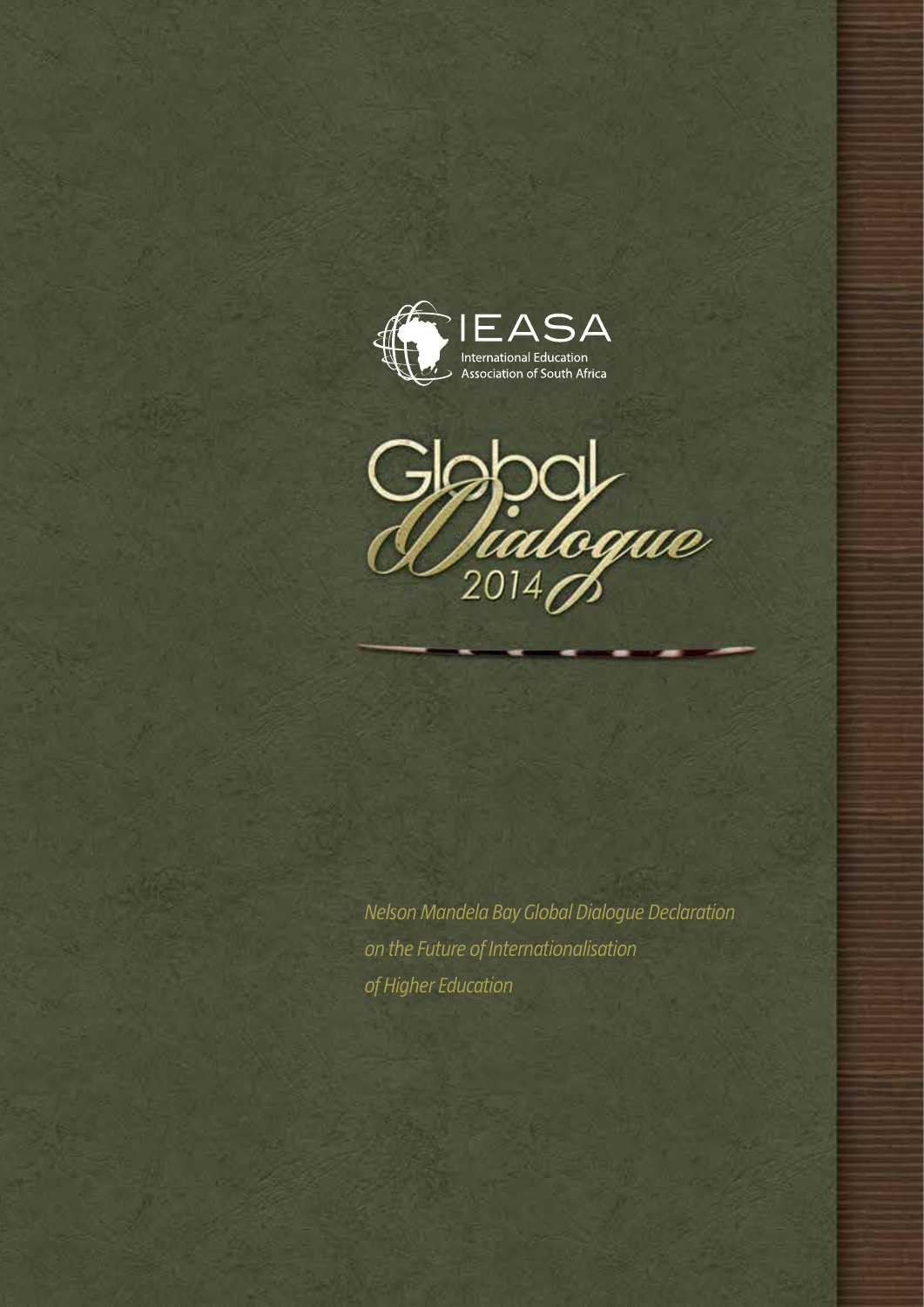



*Nelson Mandela Bay Global Dialogue Declaration on the Future of Internationalisation of Higher Education*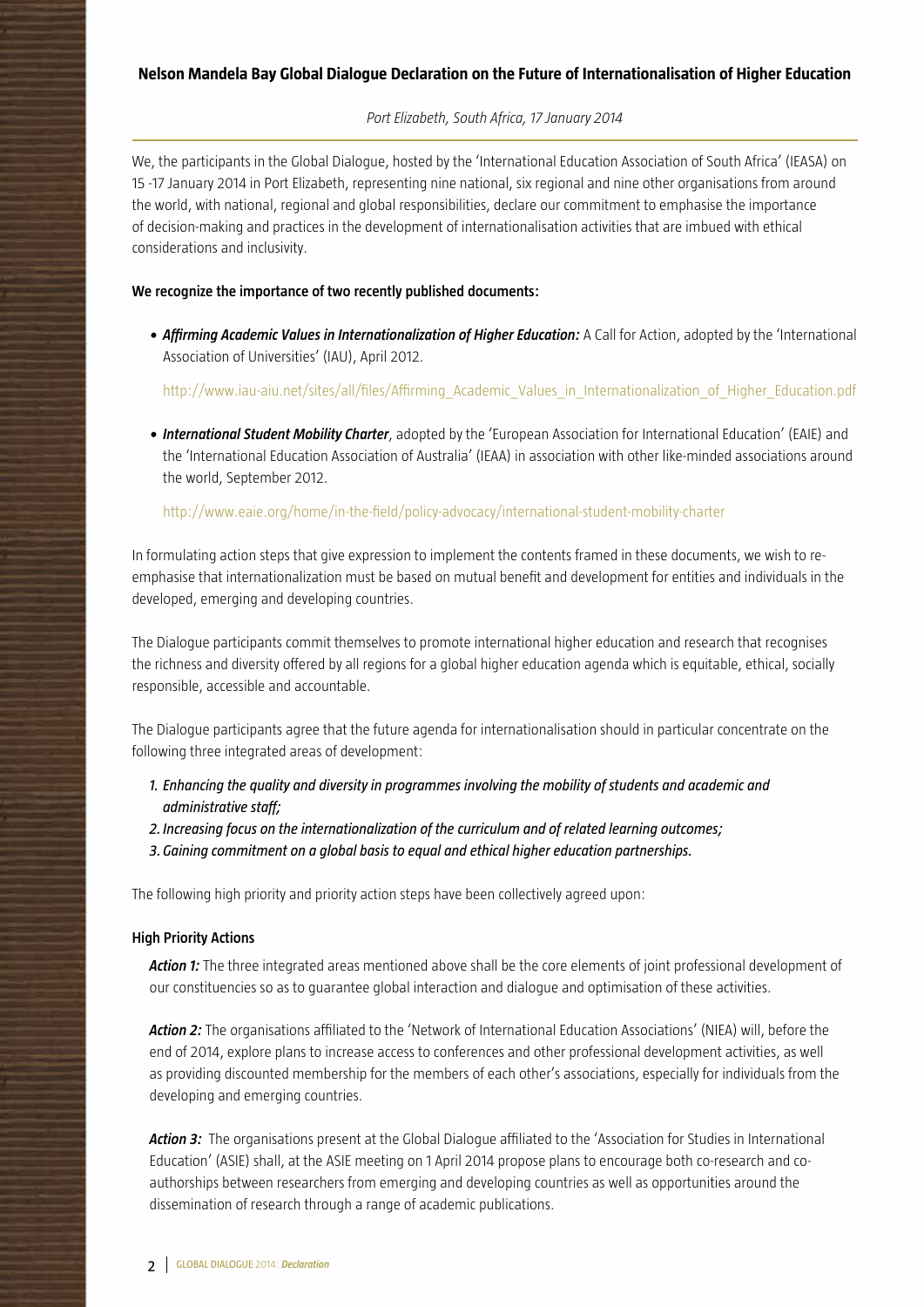## **Nelson Mandela Bay Global Dialogue Declaration on the Future of Internationalisation of Higher Education**

#### *Port Elizabeth, South Africa, 17 January 2014*

We, the participants in the Global Dialogue, hosted by the 'International Education Association of South Africa' (IEASA) on 15 -17 January 2014 in Port Elizabeth, representing nine national, six regional and nine other organisations from around the world, with national, regional and global responsibilities, declare our commitment to emphasise the importance of decision-making and practices in the development of internationalisation activities that are imbued with ethical considerations and inclusivity.

#### **We recognize the importance of two recently published documents:**

*• Affirming Academic Values in Internationalization of Higher Education:* A Call for Action, adopted by the 'International Association of Universities' (IAU), April 2012.

http://www.iau-aiu.net/sites/all/files/Affirming\_Academic\_Values\_in\_Internationalization\_of\_Higher\_Education.pdf

*• International Student Mobility Charter*, adopted by the 'European Association for International Education' (EAIE) and the 'International Education Association of Australia' (IEAA) in association with other like-minded associations around the world, September 2012.

#### http://www.eaie.org/home/in-the-field/policy-advocacy/international-student-mobility-charter

In formulating action steps that give expression to implement the contents framed in these documents, we wish to reemphasise that internationalization must be based on mutual benefit and development for entities and individuals in the developed, emerging and developing countries.

The Dialogue participants commit themselves to promote international higher education and research that recognises the richness and diversity offered by all regions for a global higher education agenda which is equitable, ethical, socially responsible, accessible and accountable.

The Dialogue participants agree that the future agenda for internationalisation should in particular concentrate on the following three integrated areas of development:

- *1. Enhancing the quality and diversity in programmes involving the mobility of students and academic and administrative staff;*
- *2. Increasing focus on the internationalization of the curriculum and of related learning outcomes;*
- *3.Gaining commitment on a global basis to equal and ethical higher education partnerships.*

The following high priority and priority action steps have been collectively agreed upon:

#### **High Priority Actions**

*Action 1:* The three integrated areas mentioned above shall be the core elements of joint professional development of our constituencies so as to guarantee global interaction and dialogue and optimisation of these activities.

*Action 2:* The organisations affiliated to the 'Network of International Education Associations' (NIEA) will, before the end of 2014, explore plans to increase access to conferences and other professional development activities, as well as providing discounted membership for the members of each other's associations, especially for individuals from the developing and emerging countries.

*Action 3:* The organisations present at the Global Dialogue affiliated to the 'Association for Studies in International Education' (ASIE) shall, at the ASIE meeting on 1 April 2014 propose plans to encourage both co-research and coauthorships between researchers from emerging and developing countries as well as opportunities around the dissemination of research through a range of academic publications.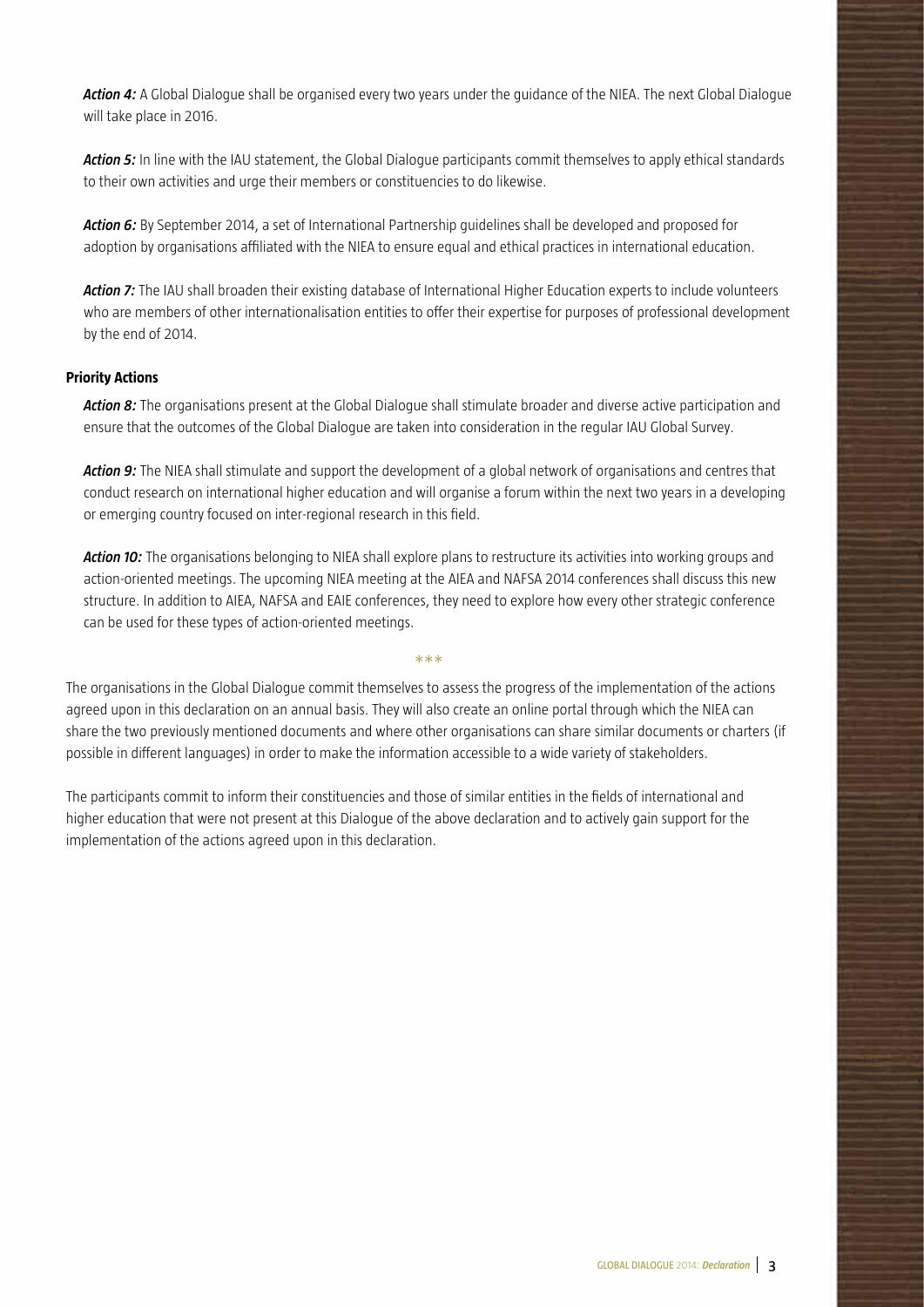*Action 4:* A Global Dialogue shall be organised every two years under the guidance of the NIEA. The next Global Dialogue will take place in 2016.

*Action 5:* In line with the IAU statement, the Global Dialogue participants commit themselves to apply ethical standards to their own activities and urge their members or constituencies to do likewise.

*Action 6:* By September 2014, a set of International Partnership guidelines shall be developed and proposed for adoption by organisations affiliated with the NIEA to ensure equal and ethical practices in international education.

*Action 7:* The IAU shall broaden their existing database of International Higher Education experts to include volunteers who are members of other internationalisation entities to offer their expertise for purposes of professional development by the end of 2014.

### **Priority Actions**

*Action 8:* The organisations present at the Global Dialogue shall stimulate broader and diverse active participation and ensure that the outcomes of the Global Dialogue are taken into consideration in the regular IAU Global Survey.

*Action 9:* The NIEA shall stimulate and support the development of a global network of organisations and centres that conduct research on international higher education and will organise a forum within the next two years in a developing or emerging country focused on inter-regional research in this field.

*Action 10:* The organisations belonging to NIEA shall explore plans to restructure its activities into working groups and action-oriented meetings. The upcoming NIEA meeting at the AIEA and NAFSA 2014 conferences shall discuss this new structure. In addition to AIEA, NAFSA and EAIE conferences, they need to explore how every other strategic conference can be used for these types of action-oriented meetings.

The organisations in the Global Dialogue commit themselves to assess the progress of the implementation of the actions agreed upon in this declaration on an annual basis. They will also create an online portal through which the NIEA can share the two previously mentioned documents and where other organisations can share similar documents or charters (if possible in different languages) in order to make the information accessible to a wide variety of stakeholders.

\*\*\*

The participants commit to inform their constituencies and those of similar entities in the fields of international and higher education that were not present at this Dialogue of the above declaration and to actively gain support for the implementation of the actions agreed upon in this declaration.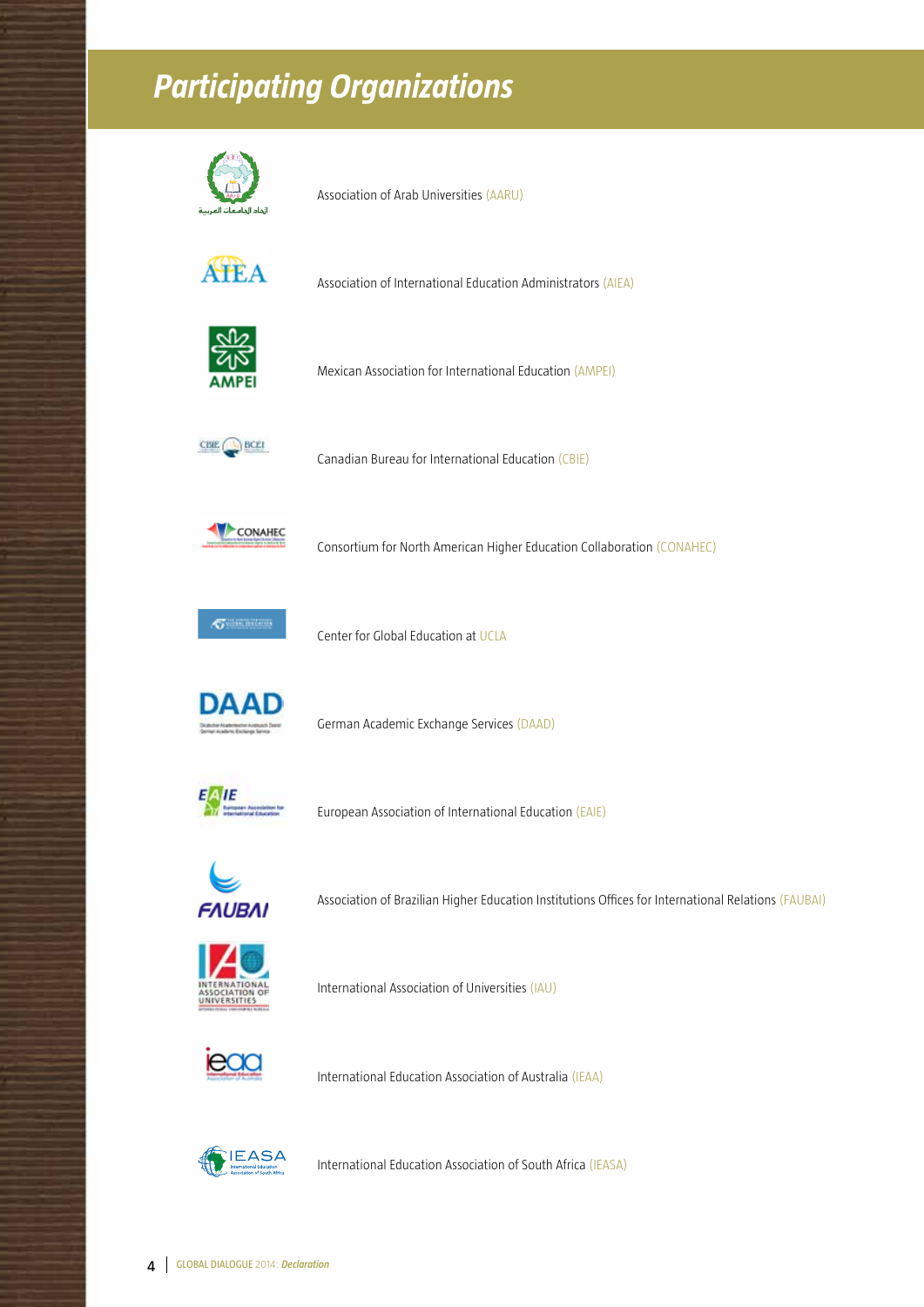# *Participating Organizations*



Association of Arab Universities (AARU)



Association of International Education Administrators (AIEA)



Mexican Association for International Education (AMPEI)



Canadian Bureau for International Education (CBIE)



Consortium for North American Higher Education Collaboration (CONAHEC)



Center for Global Education at UCLA



German Academic Exchange Services (DAAD)



European Association of International Education (EAIE)



Association of Brazilian Higher Education Institutions Offices for International Relations (FAUBAI)



International Association of Universities (IAU)



International Education Association of Australia (IEAA)



International Education Association of South Africa (IEASA)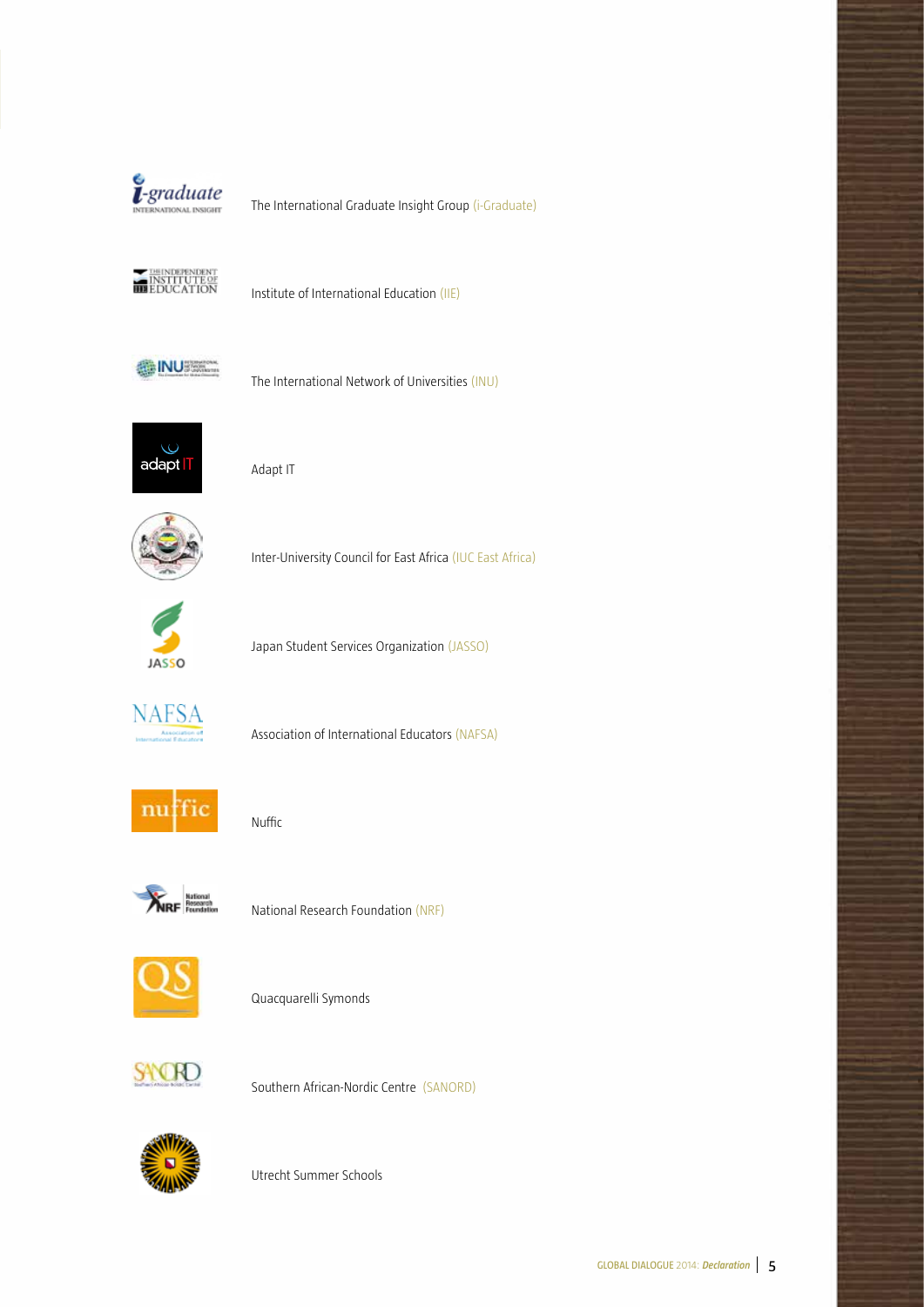

The International Graduate Insight Group (i-Graduate)



Institute of International Education (IIE)



The International Network of Universities (INU)



Adapt IT



Inter-University Council for East Africa (IUC East Africa)



Japan Student Services Organization (JASSO)



Association of International Educators (NAFSA)



Nuffic



National Research Foundation (NRF)



Quacquarelli Symonds



Southern African-Nordic Centre (SANORD)



Utrecht Summer Schools